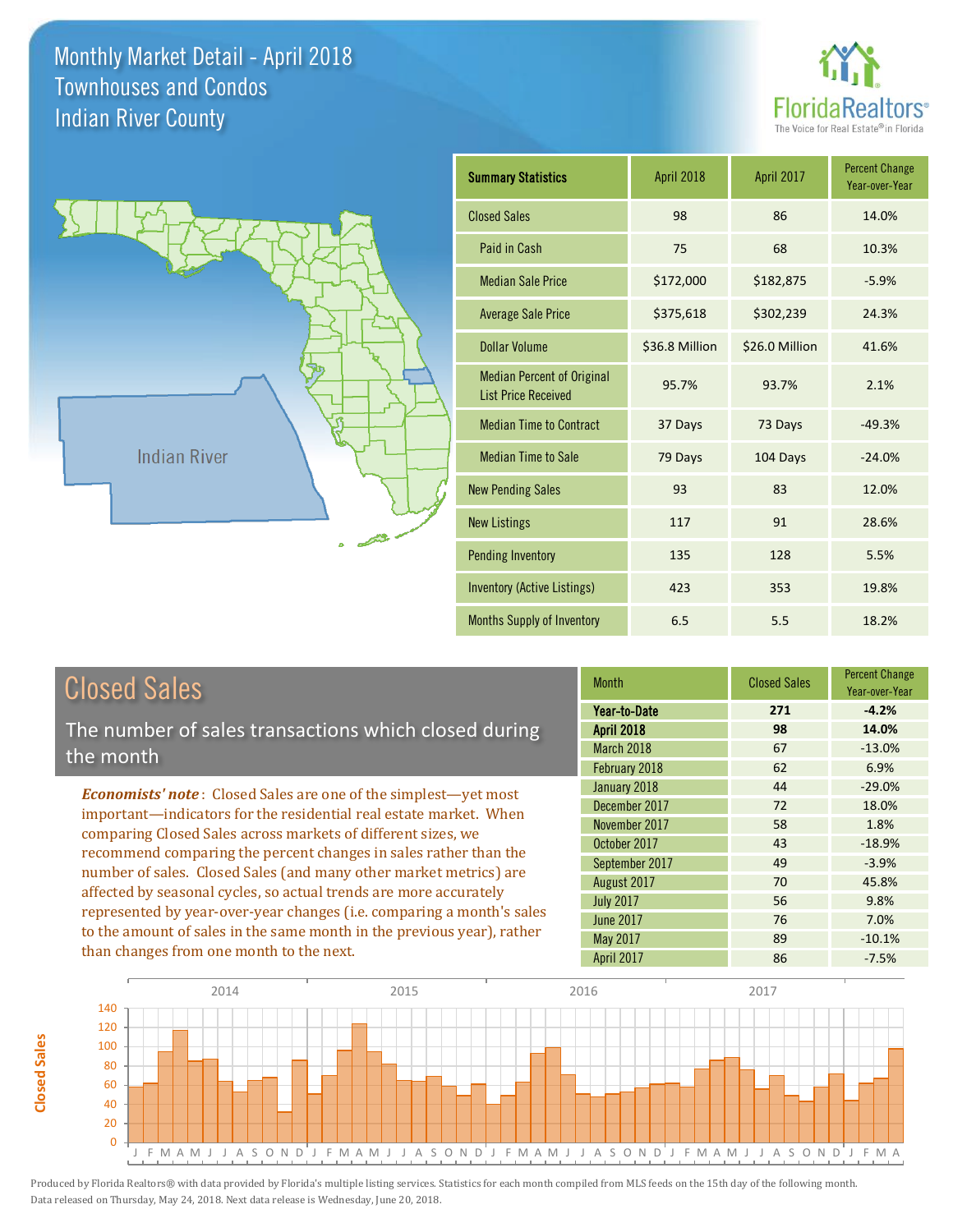



## Closed Sales

**Closed Sales**

**Closed Sales** 

The number of sales transactions which closed during the month

*Economists' note* : Closed Sales are one of the simplest—yet most important—indicators for the residential real estate market. When comparing Closed Sales across markets of different sizes, we recommend comparing the percent changes in sales rather than the number of sales. Closed Sales (and many other market metrics) are affected by seasonal cycles, so actual trends are more accurately represented by year-over-year changes (i.e. comparing a month's sales to the amount of sales in the same month in the previous year), rather than changes from one month to the next.

| <b>Month</b>      | <b>Closed Sales</b> | <b>Percent Change</b><br>Year-over-Year |
|-------------------|---------------------|-----------------------------------------|
| Year-to-Date      | 271                 | $-4.2%$                                 |
| <b>April 2018</b> | 98                  | 14.0%                                   |
| March 2018        | 67                  | $-13.0%$                                |
| February 2018     | 62                  | 6.9%                                    |
| January 2018      | 44                  | $-29.0%$                                |
| December 2017     | 72                  | 18.0%                                   |
| November 2017     | 58                  | 1.8%                                    |
| October 2017      | 43                  | $-18.9%$                                |
| September 2017    | 49                  | $-3.9%$                                 |
| August 2017       | 70                  | 45.8%                                   |
| <b>July 2017</b>  | 56                  | 9.8%                                    |
| <b>June 2017</b>  | 76                  | 7.0%                                    |
| May 2017          | 89                  | $-10.1%$                                |
| April 2017        | 86                  | $-7.5%$                                 |

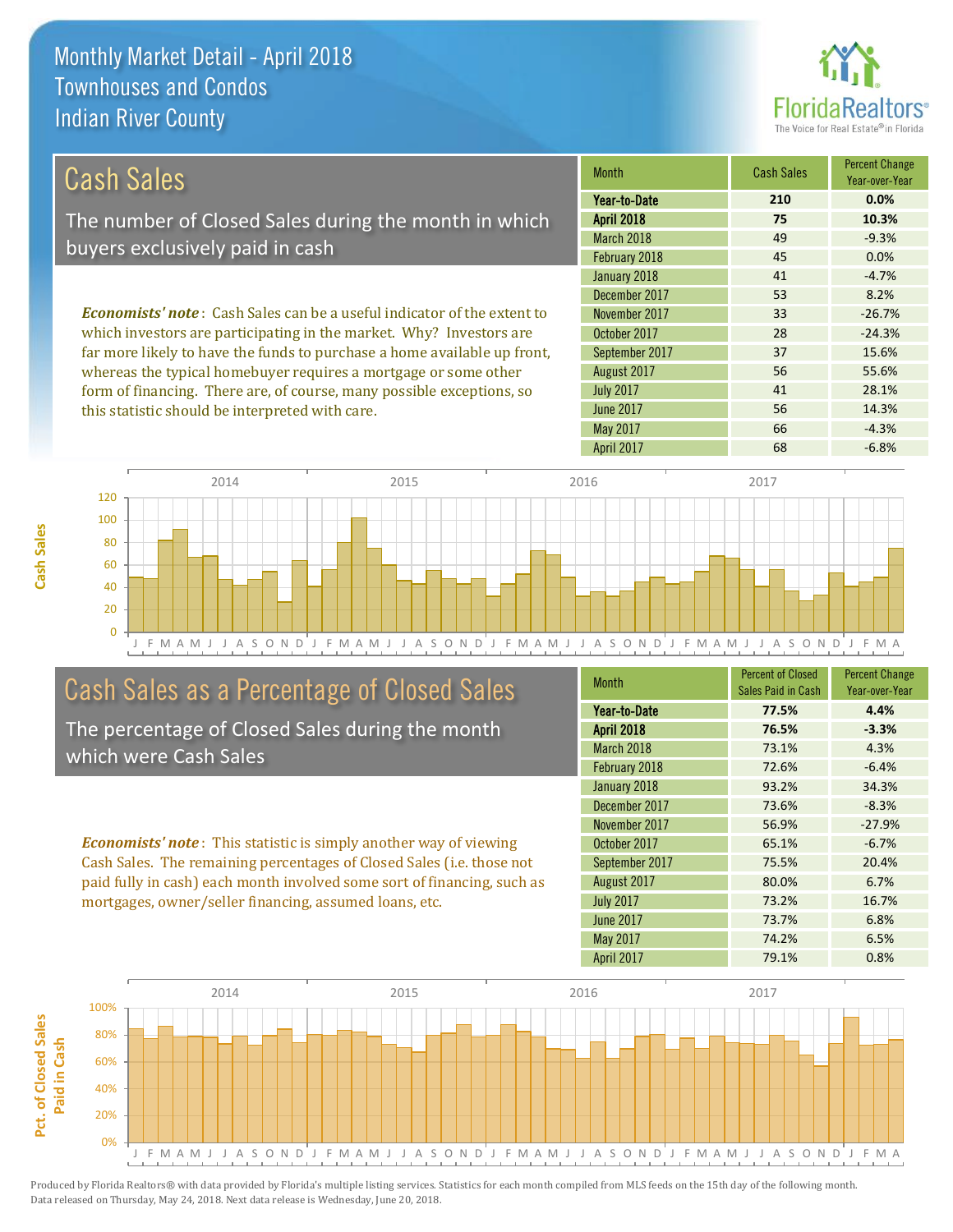

| Cash Sales                                                                     | <b>Month</b>      | <b>Cash Sales</b> | <b>Percent Change</b><br>Year-over-Year |
|--------------------------------------------------------------------------------|-------------------|-------------------|-----------------------------------------|
|                                                                                | Year-to-Date      | 210               | 0.0%                                    |
| The number of Closed Sales during the month in which                           | <b>April 2018</b> | 75                | 10.3%                                   |
| buyers exclusively paid in cash                                                | March 2018        | 49                | $-9.3%$                                 |
|                                                                                | February 2018     | 45                | 0.0%                                    |
|                                                                                | January 2018      | 41                | $-4.7%$                                 |
|                                                                                | December 2017     | 53                | 8.2%                                    |
| <b>Economists' note:</b> Cash Sales can be a useful indicator of the extent to | November 2017     | 33                | $-26.7%$                                |
| which investors are participating in the market. Why? Investors are            | October 2017      | 28                | $-24.3%$                                |
| far more likely to have the funds to purchase a home available up front,       | September 2017    | 37                | 15.6%                                   |
| whereas the typical homebuyer requires a mortgage or some other                | August 2017       | 56                | 55.6%                                   |

form of financing. There are, of course, many possible exceptions, so this statistic should be interpreted with care.

|                   |     | rear-over-rear |
|-------------------|-----|----------------|
| Year-to-Date      | 210 | 0.0%           |
| <b>April 2018</b> | 75  | 10.3%          |
| March 2018        | 49  | $-9.3%$        |
| February 2018     | 45  | 0.0%           |
| January 2018      | 41  | $-4.7%$        |
| December 2017     | 53  | 8.2%           |
| November 2017     | 33  | $-26.7%$       |
| October 2017      | 28  | $-24.3%$       |
| September 2017    | 37  | 15.6%          |
| August 2017       | 56  | 55.6%          |
| <b>July 2017</b>  | 41  | 28.1%          |
| <b>June 2017</b>  | 56  | 14.3%          |
| May 2017          | 66  | $-4.3%$        |
| <b>April 2017</b> | 68  | $-6.8%$        |



## Cash Sales as a Percentage of Closed Sales

The percentage of Closed Sales during the month which were Cash Sales

*Economists' note* : This statistic is simply another way of viewing Cash Sales. The remaining percentages of Closed Sales (i.e. those not paid fully in cash) each month involved some sort of financing, such as mortgages, owner/seller financing, assumed loans, etc.

| <b>Month</b>      | <b>Percent of Closed</b> | <b>Percent Change</b> |
|-------------------|--------------------------|-----------------------|
|                   | Sales Paid in Cash       | Year-over-Year        |
| Year-to-Date      | 77.5%                    | 4.4%                  |
| <b>April 2018</b> | 76.5%                    | $-3.3%$               |
| March 2018        | 73.1%                    | 4.3%                  |
| February 2018     | 72.6%                    | $-6.4%$               |
| January 2018      | 93.2%                    | 34.3%                 |
| December 2017     | 73.6%                    | $-8.3%$               |
| November 2017     | 56.9%                    | $-27.9%$              |
| October 2017      | 65.1%                    | $-6.7%$               |
| September 2017    | 75.5%                    | 20.4%                 |
| August 2017       | 80.0%                    | 6.7%                  |
| <b>July 2017</b>  | 73.2%                    | 16.7%                 |
| <b>June 2017</b>  | 73.7%                    | 6.8%                  |
| <b>May 2017</b>   | 74.2%                    | 6.5%                  |
| <b>April 2017</b> | 79.1%                    | 0.8%                  |

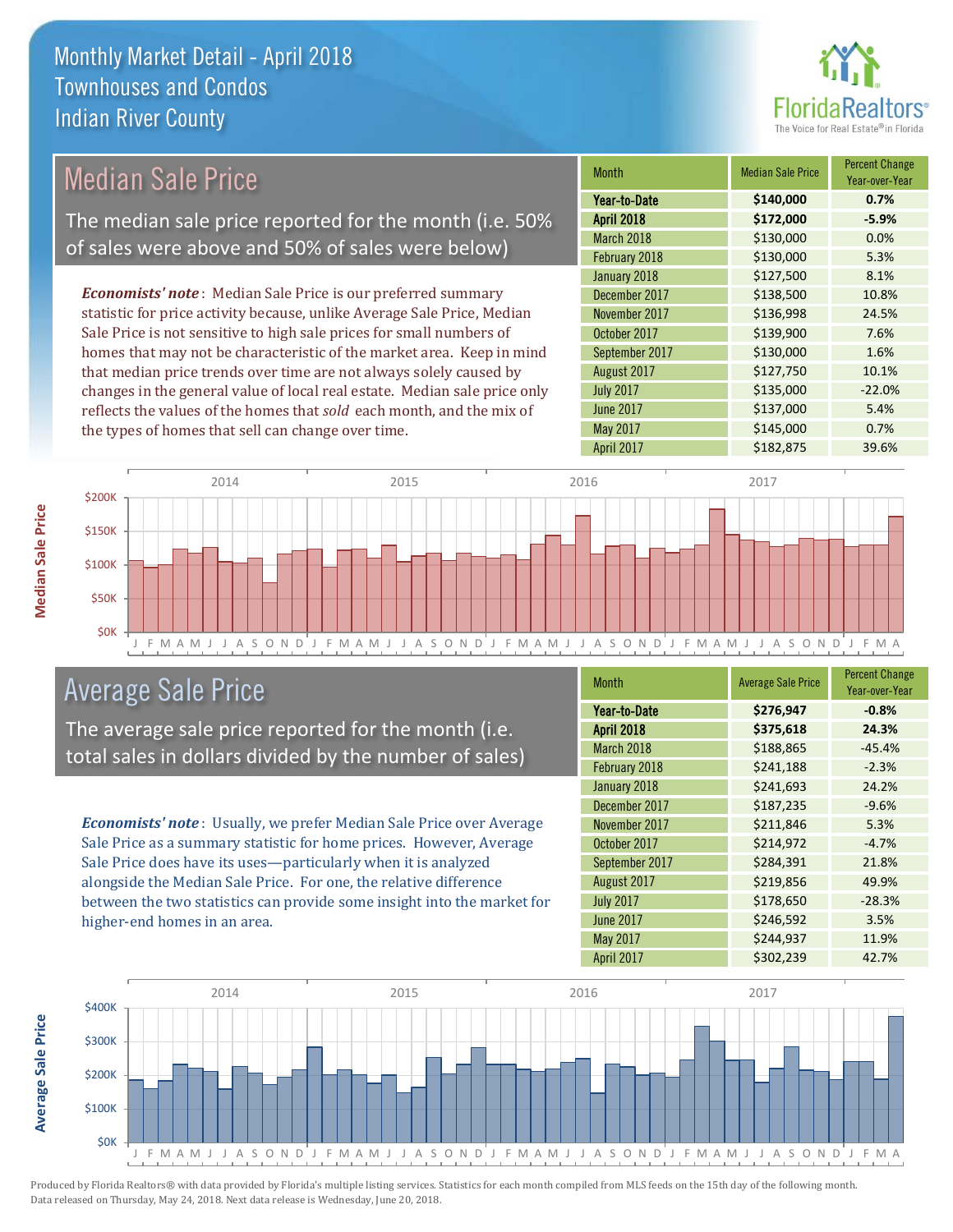

| <b>Median Sale Price</b>                                                  | <b>Month</b>      | <b>Median Sale Price</b> | <b>Percent Change</b><br>Year-over-Year |
|---------------------------------------------------------------------------|-------------------|--------------------------|-----------------------------------------|
|                                                                           | Year-to-Date      | \$140,000                | 0.7%                                    |
| The median sale price reported for the month (i.e. 50%                    | <b>April 2018</b> | \$172,000                | $-5.9%$                                 |
| of sales were above and 50% of sales were below)                          | March 2018        | \$130,000                | 0.0%                                    |
|                                                                           | February 2018     | \$130,000                | 5.3%                                    |
|                                                                           | January 2018      | \$127,500                | 8.1%                                    |
| <b>Economists' note:</b> Median Sale Price is our preferred summary       | December 2017     | \$138,500                | 10.8%                                   |
| statistic for price activity because, unlike Average Sale Price, Median   | November 2017     | \$136,998                | 24.5%                                   |
| Sale Price is not sensitive to high sale prices for small numbers of      | October 2017      | \$139,900                | 7.6%                                    |
| homes that may not be characteristic of the market area. Keep in mind     | September 2017    | \$130,000                | 1.6%                                    |
| that median price trends over time are not always solely caused by        | August 2017       | \$127,750                | 10.1%                                   |
| changes in the general value of local real estate. Median sale price only | <b>July 2017</b>  | \$135,000                | $-22.0%$                                |
| reflects the values of the homes that sold each month, and the mix of     | <b>June 2017</b>  | \$137,000                | 5.4%                                    |
| the types of homes that sell can change over time.                        | May 2017          | \$145,000                | 0.7%                                    |
|                                                                           | April 2017        | \$182,875                | 39.6%                                   |
| 2014<br>2015<br><b>\$200K</b>                                             | 2016              | 2017                     |                                         |
|                                                                           |                   |                          |                                         |



## Average Sale Price

The average sale price reported for the month (i.e. total sales in dollars divided by the number of sales)

*Economists' note* : Usually, we prefer Median Sale Price over Average Sale Price as a summary statistic for home prices. However, Average Sale Price does have its uses—particularly when it is analyzed alongside the Median Sale Price. For one, the relative difference between the two statistics can provide some insight into the market for higher-end homes in an area.

| <b>Month</b>      | <b>Average Sale Price</b> | <b>Percent Change</b><br>Year-over-Year |
|-------------------|---------------------------|-----------------------------------------|
| Year-to-Date      | \$276,947                 | $-0.8%$                                 |
| <b>April 2018</b> | \$375,618                 | 24.3%                                   |
| March 2018        | \$188,865                 | $-45.4%$                                |
| February 2018     | \$241,188                 | $-2.3%$                                 |
| January 2018      | \$241,693                 | 24.2%                                   |
| December 2017     | \$187,235                 | $-9.6%$                                 |
| November 2017     | \$211,846                 | 5.3%                                    |
| October 2017      | \$214,972                 | $-4.7%$                                 |
| September 2017    | \$284,391                 | 21.8%                                   |
| August 2017       | \$219,856                 | 49.9%                                   |
| <b>July 2017</b>  | \$178,650                 | $-28.3%$                                |
| <b>June 2017</b>  | \$246,592                 | 3.5%                                    |
| May 2017          | \$244,937                 | 11.9%                                   |
| April 2017        | \$302,239                 | 42.7%                                   |



Produced by Florida Realtors® with data provided by Florida's multiple listing services. Statistics for each month compiled from MLS feeds on the 15th day of the following month. Data released on Thursday, May 24, 2018. Next data release is Wednesday, June 20, 2018.

**Average Sale Price**

**Average Sale Price**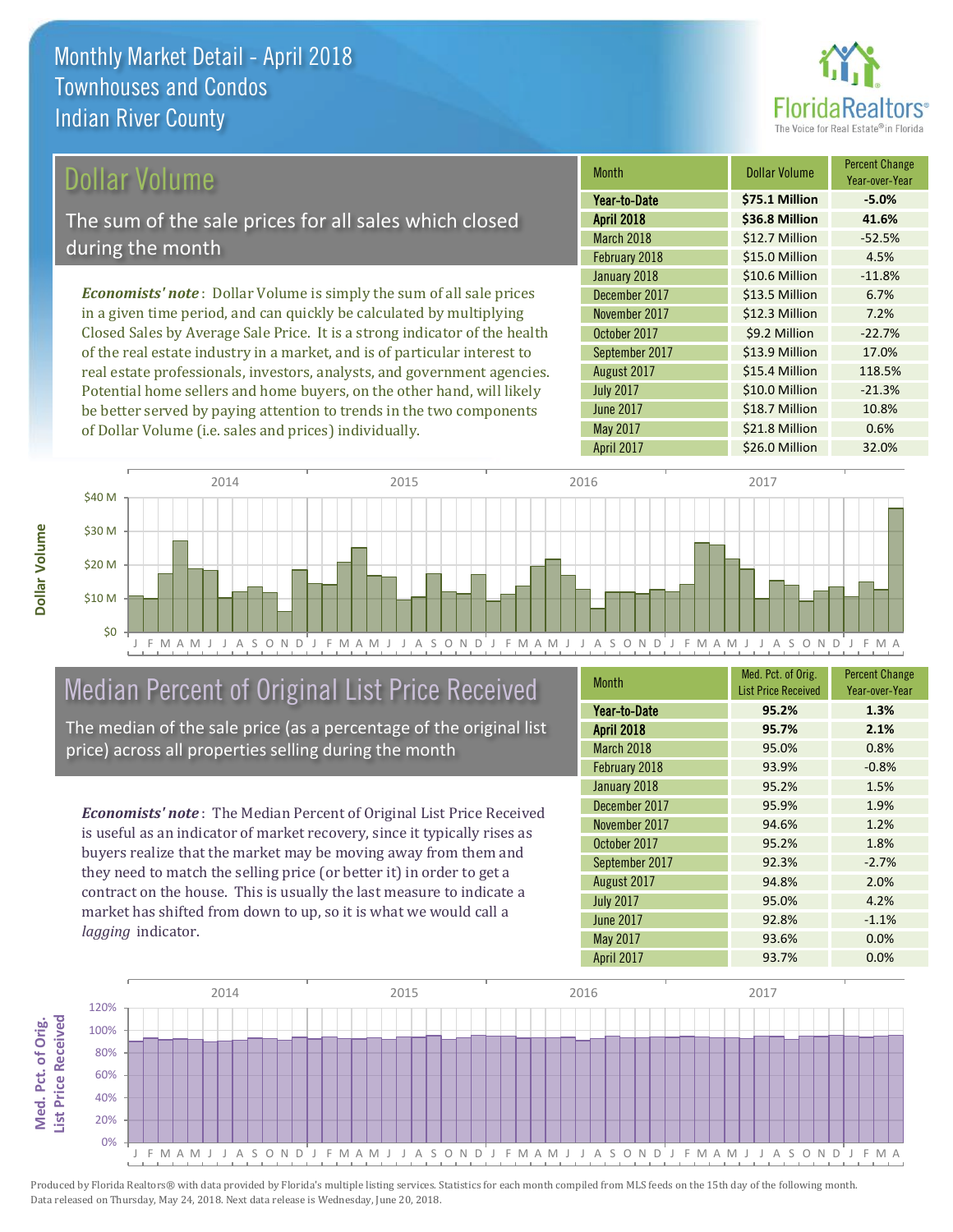

### Dollar Volume

The sum of the sale prices for all sales which closed during the month

*Economists' note* : Dollar Volume is simply the sum of all sale prices in a given time period, and can quickly be calculated by multiplying Closed Sales by Average Sale Price. It is a strong indicator of the health of the real estate industry in a market, and is of particular interest to real estate professionals, investors, analysts, and government agencies. Potential home sellers and home buyers, on the other hand, will likely be better served by paying attention to trends in the two components of Dollar Volume (i.e. sales and prices) individually.

| Month             | Dollar Volume  | <b>Percent Change</b><br>Year-over-Year |
|-------------------|----------------|-----------------------------------------|
| Year-to-Date      | \$75.1 Million | $-5.0%$                                 |
| <b>April 2018</b> | \$36.8 Million | 41.6%                                   |
| March 2018        | \$12.7 Million | $-52.5%$                                |
| February 2018     | \$15.0 Million | 4.5%                                    |
| January 2018      | \$10.6 Million | $-11.8%$                                |
| December 2017     | \$13.5 Million | 6.7%                                    |
| November 2017     | \$12.3 Million | 7.2%                                    |
| October 2017      | \$9.2 Million  | $-22.7%$                                |
| September 2017    | \$13.9 Million | 17.0%                                   |
| August 2017       | \$15.4 Million | 118.5%                                  |
| <b>July 2017</b>  | \$10.0 Million | $-21.3%$                                |
| <b>June 2017</b>  | \$18.7 Million | 10.8%                                   |
| May 2017          | \$21.8 Million | 0.6%                                    |
| April 2017        | \$26.0 Million | 32.0%                                   |



## Median Percent of Original List Price Received

The median of the sale price (as a percentage of the original list price) across all properties selling during the month

*Economists' note* : The Median Percent of Original List Price Received is useful as an indicator of market recovery, since it typically rises as buyers realize that the market may be moving away from them and they need to match the selling price (or better it) in order to get a contract on the house. This is usually the last measure to indicate a market has shifted from down to up, so it is what we would call a *lagging* indicator.

| <b>Month</b>      | Med. Pct. of Orig.<br><b>List Price Received</b> | <b>Percent Change</b><br>Year-over-Year |
|-------------------|--------------------------------------------------|-----------------------------------------|
| Year-to-Date      | 95.2%                                            | 1.3%                                    |
| <b>April 2018</b> | 95.7%                                            | 2.1%                                    |
| March 2018        | 95.0%                                            | 0.8%                                    |
| February 2018     | 93.9%                                            | $-0.8%$                                 |
| January 2018      | 95.2%                                            | 1.5%                                    |
| December 2017     | 95.9%                                            | 1.9%                                    |
| November 2017     | 94.6%                                            | 1.2%                                    |
| October 2017      | 95.2%                                            | 1.8%                                    |
| September 2017    | 92.3%                                            | $-2.7%$                                 |
| August 2017       | 94.8%                                            | 2.0%                                    |
| <b>July 2017</b>  | 95.0%                                            | 4.2%                                    |
| <b>June 2017</b>  | 92.8%                                            | $-1.1%$                                 |
| May 2017          | 93.6%                                            | 0.0%                                    |
| <b>April 2017</b> | 93.7%                                            | 0.0%                                    |

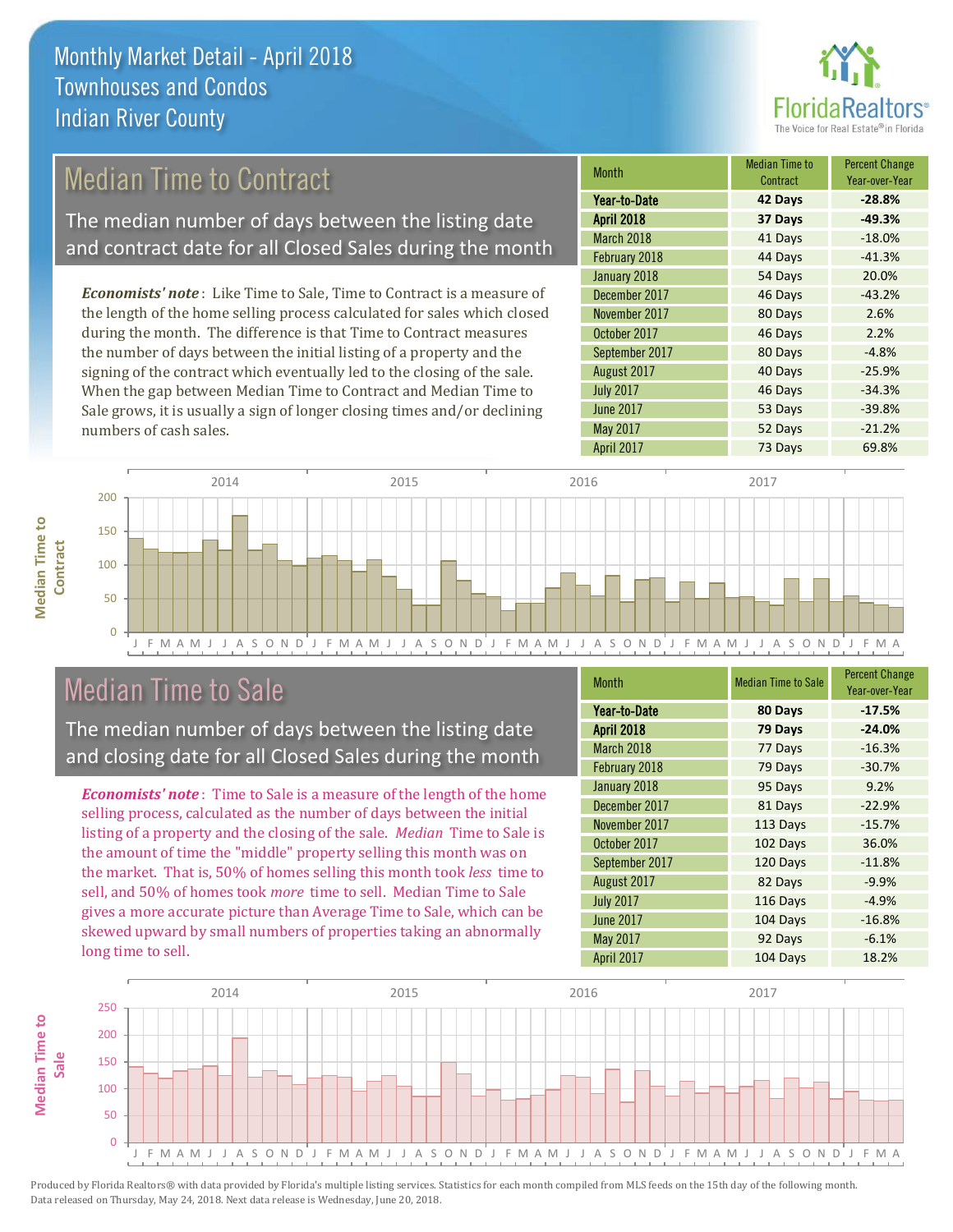

## Median Time to Contract

The median number of days between the listing date and contract date for all Closed Sales during the month

*Economists' note* : Like Time to Sale, Time to Contract is a measure of the length of the home selling process calculated for sales which closed during the month. The difference is that Time to Contract measures the number of days between the initial listing of a property and the signing of the contract which eventually led to the closing of the sale. When the gap between Median Time to Contract and Median Time to Sale grows, it is usually a sign of longer closing times and/or declining numbers of cash sales.

| <b>Month</b>      | Median Time to<br>Contract | <b>Percent Change</b><br>Year-over-Year |
|-------------------|----------------------------|-----------------------------------------|
| Year-to-Date      | 42 Days                    | $-28.8%$                                |
| <b>April 2018</b> | 37 Days                    | $-49.3%$                                |
| March 2018        | 41 Days                    | $-18.0%$                                |
| February 2018     | 44 Days                    | $-41.3%$                                |
| January 2018      | 54 Days                    | 20.0%                                   |
| December 2017     | 46 Days                    | $-43.2%$                                |
| November 2017     | 80 Days                    | 2.6%                                    |
| October 2017      | 46 Days                    | 2.2%                                    |
| September 2017    | 80 Days                    | $-4.8%$                                 |
| August 2017       | 40 Days                    | $-25.9%$                                |
| <b>July 2017</b>  | 46 Days                    | $-34.3%$                                |
| <b>June 2017</b>  | 53 Days                    | $-39.8%$                                |
| May 2017          | 52 Days                    | $-21.2%$                                |
| April 2017        | 73 Days                    | 69.8%                                   |



### Median Time to Sale

**Median Time to** 

The median number of days between the listing date and closing date for all Closed Sales during the month

*Economists' note* : Time to Sale is a measure of the length of the home selling process, calculated as the number of days between the initial listing of a property and the closing of the sale. *Median* Time to Sale is the amount of time the "middle" property selling this month was on the market. That is, 50% of homes selling this month took *less* time to sell, and 50% of homes took *more* time to sell. Median Time to Sale gives a more accurate picture than Average Time to Sale, which can be skewed upward by small numbers of properties taking an abnormally long time to sell.

| <b>Month</b>      | <b>Median Time to Sale</b> | <b>Percent Change</b><br>Year-over-Year |
|-------------------|----------------------------|-----------------------------------------|
| Year-to-Date      | 80 Days                    | $-17.5%$                                |
| <b>April 2018</b> | 79 Days                    | $-24.0%$                                |
| March 2018        | 77 Days                    | $-16.3%$                                |
| February 2018     | 79 Days                    | $-30.7%$                                |
| January 2018      | 95 Days                    | 9.2%                                    |
| December 2017     | 81 Days                    | $-22.9%$                                |
| November 2017     | 113 Days                   | $-15.7%$                                |
| October 2017      | 102 Days                   | 36.0%                                   |
| September 2017    | 120 Days                   | $-11.8%$                                |
| August 2017       | 82 Days                    | $-9.9%$                                 |
| <b>July 2017</b>  | 116 Days                   | $-4.9%$                                 |
| <b>June 2017</b>  | 104 Days                   | $-16.8%$                                |
| May 2017          | 92 Days                    | $-6.1%$                                 |
| <b>April 2017</b> | 104 Days                   | 18.2%                                   |

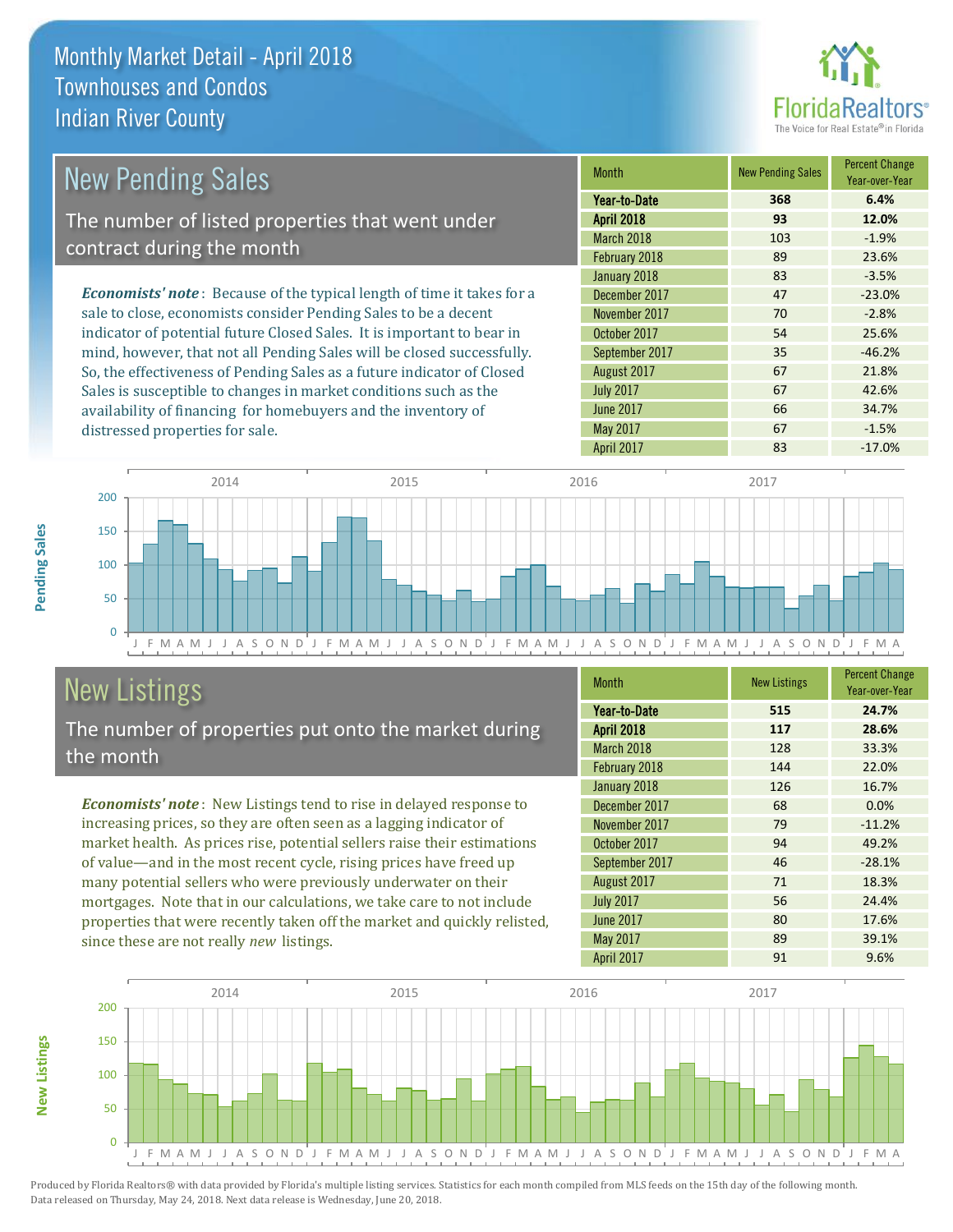

| <b>New Pending Sales</b>                                                      | <b>Month</b>      | <b>New Pending Sales</b> | <b>Percent Change</b><br>Year-over-Year |
|-------------------------------------------------------------------------------|-------------------|--------------------------|-----------------------------------------|
|                                                                               | Year-to-Date      | 368                      | 6.4%                                    |
| The number of listed properties that went under                               | <b>April 2018</b> | 93                       | 12.0%                                   |
| contract during the month                                                     | <b>March 2018</b> | 103                      | $-1.9%$                                 |
|                                                                               | February 2018     | 89                       | 23.6%                                   |
|                                                                               | January 2018      | 83                       | $-3.5%$                                 |
| <b>Economists' note:</b> Because of the typical length of time it takes for a | December 2017     | 47                       | $-23.0%$                                |
| sale to close, economists consider Pending Sales to be a decent               | November 2017     | 70                       | $-2.8%$                                 |
| indicator of potential future Closed Sales. It is important to bear in        | October 2017      | 54                       | 25.6%                                   |
| mind, however, that not all Pending Sales will be closed successfully.        | September 2017    | 35                       | $-46.2%$                                |
| So, the effectiveness of Pending Sales as a future indicator of Closed        | August 2017       | 67                       | 21.8%                                   |
| Sales is susceptible to changes in market conditions such as the              | <b>July 2017</b>  | 67                       | 42.6%                                   |



## New Listings

**New Listings**

**Pending Sales**

Pending Sales

distressed properties for sale.

The number of properties put onto the market during the month

availability of financing for homebuyers and the inventory of

*Economists' note* : New Listings tend to rise in delayed response to increasing prices, so they are often seen as a lagging indicator of market health. As prices rise, potential sellers raise their estimations of value—and in the most recent cycle, rising prices have freed up many potential sellers who were previously underwater on their mortgages. Note that in our calculations, we take care to not include properties that were recently taken off the market and quickly relisted, since these are not really *new* listings.

| <b>Month</b>      | <b>New Listings</b> | <b>Percent Change</b><br>Year-over-Year |
|-------------------|---------------------|-----------------------------------------|
| Year-to-Date      | 515                 | 24.7%                                   |
| <b>April 2018</b> | 117                 | 28.6%                                   |
| March 2018        | 128                 | 33.3%                                   |
| February 2018     | 144                 | 22.0%                                   |
| January 2018      | 126                 | 16.7%                                   |
| December 2017     | 68                  | 0.0%                                    |
| November 2017     | 79                  | $-11.2%$                                |
| October 2017      | 94                  | 49.2%                                   |
| September 2017    | 46                  | $-28.1%$                                |
| August 2017       | 71                  | 18.3%                                   |
| <b>July 2017</b>  | 56                  | 24.4%                                   |
| <b>June 2017</b>  | 80                  | 17.6%                                   |
| May 2017          | 89                  | 39.1%                                   |
| <b>April 2017</b> | 91                  | 9.6%                                    |

June 2017 **66** 34.7% May 2017 **67** -1.5%

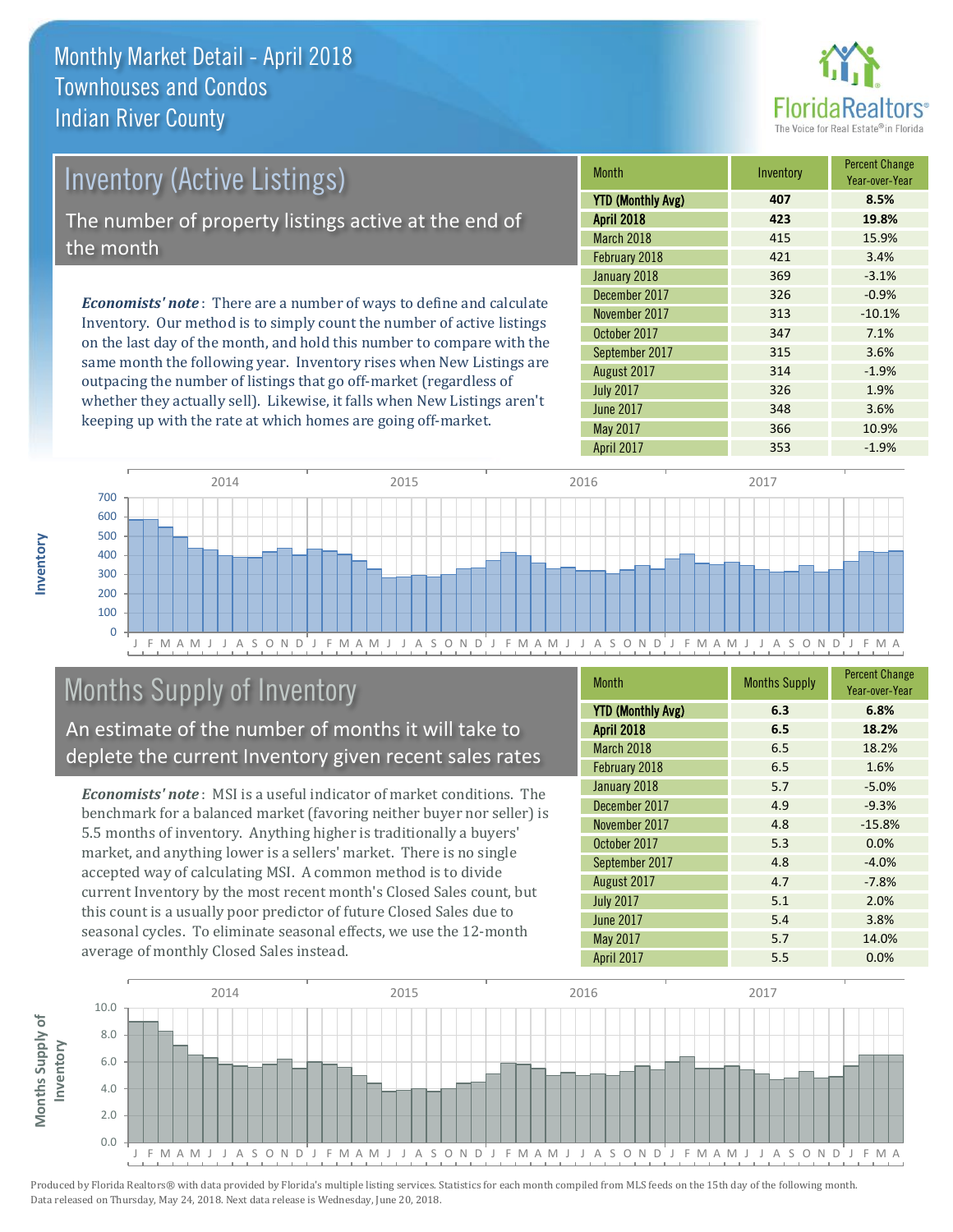

| <b>Inventory (Active Listings)</b>                                           | <b>Month</b>                               |
|------------------------------------------------------------------------------|--------------------------------------------|
|                                                                              | <b>YTD (Monthly A</b><br><b>April 2018</b> |
| The number of property listings active at the end of                         |                                            |
| the month                                                                    | February 2018                              |
| <b>Economists' note</b> : There are a number of ways to define and calculate | January 2018                               |
|                                                                              | December 2017                              |
|                                                                              |                                            |

Inventory. Our method is to simply count the number of active listings on the last day of the month, and hold this number to compare with the same month the following year. Inventory rises when New Listings are outpacing the number of listings that go off-market (regardless of whether they actually sell). Likewise, it falls when New Listings aren't keeping up with the rate at which homes are going off-market.

| <b>Month</b>             | Inventory | <b>Percent Change</b><br>Year-over-Year |
|--------------------------|-----------|-----------------------------------------|
| <b>YTD (Monthly Avg)</b> | 407       | 8.5%                                    |
| <b>April 2018</b>        | 423       | 19.8%                                   |
| March 2018               | 415       | 15.9%                                   |
| February 2018            | 421       | 3.4%                                    |
| January 2018             | 369       | $-3.1%$                                 |
| December 2017            | 326       | $-0.9%$                                 |
| November 2017            | 313       | $-10.1%$                                |
| October 2017             | 347       | 7.1%                                    |
| September 2017           | 315       | 3.6%                                    |
| August 2017              | 314       | $-1.9%$                                 |
| <b>July 2017</b>         | 326       | 1.9%                                    |
| <b>June 2017</b>         | 348       | 3.6%                                    |
| May 2017                 | 366       | 10.9%                                   |
| <b>April 2017</b>        | 353       | $-1.9%$                                 |



## Months Supply of Inventory

An estimate of the number of months it will take to deplete the current Inventory given recent sales rates

*Economists' note* : MSI is a useful indicator of market conditions. The benchmark for a balanced market (favoring neither buyer nor seller) is 5.5 months of inventory. Anything higher is traditionally a buyers' market, and anything lower is a sellers' market. There is no single accepted way of calculating MSI. A common method is to divide current Inventory by the most recent month's Closed Sales count, but this count is a usually poor predictor of future Closed Sales due to seasonal cycles. To eliminate seasonal effects, we use the 12-month average of monthly Closed Sales instead.

| <b>Month</b>             | <b>Months Supply</b> | <b>Percent Change</b><br>Year-over-Year |
|--------------------------|----------------------|-----------------------------------------|
| <b>YTD (Monthly Avg)</b> | 6.3                  | 6.8%                                    |
| <b>April 2018</b>        | 6.5                  | 18.2%                                   |
| March 2018               | 6.5                  | 18.2%                                   |
| February 2018            | 6.5                  | 1.6%                                    |
| January 2018             | 5.7                  | $-5.0%$                                 |
| December 2017            | 4.9                  | $-9.3%$                                 |
| November 2017            | 4.8                  | $-15.8%$                                |
| October 2017             | 5.3                  | 0.0%                                    |
| September 2017           | 4.8                  | $-4.0%$                                 |
| August 2017              | 4.7                  | $-7.8%$                                 |
| <b>July 2017</b>         | 5.1                  | 2.0%                                    |
| <b>June 2017</b>         | 5.4                  | 3.8%                                    |
| May 2017                 | 5.7                  | 14.0%                                   |
| April 2017               | 5.5                  | 0.0%                                    |

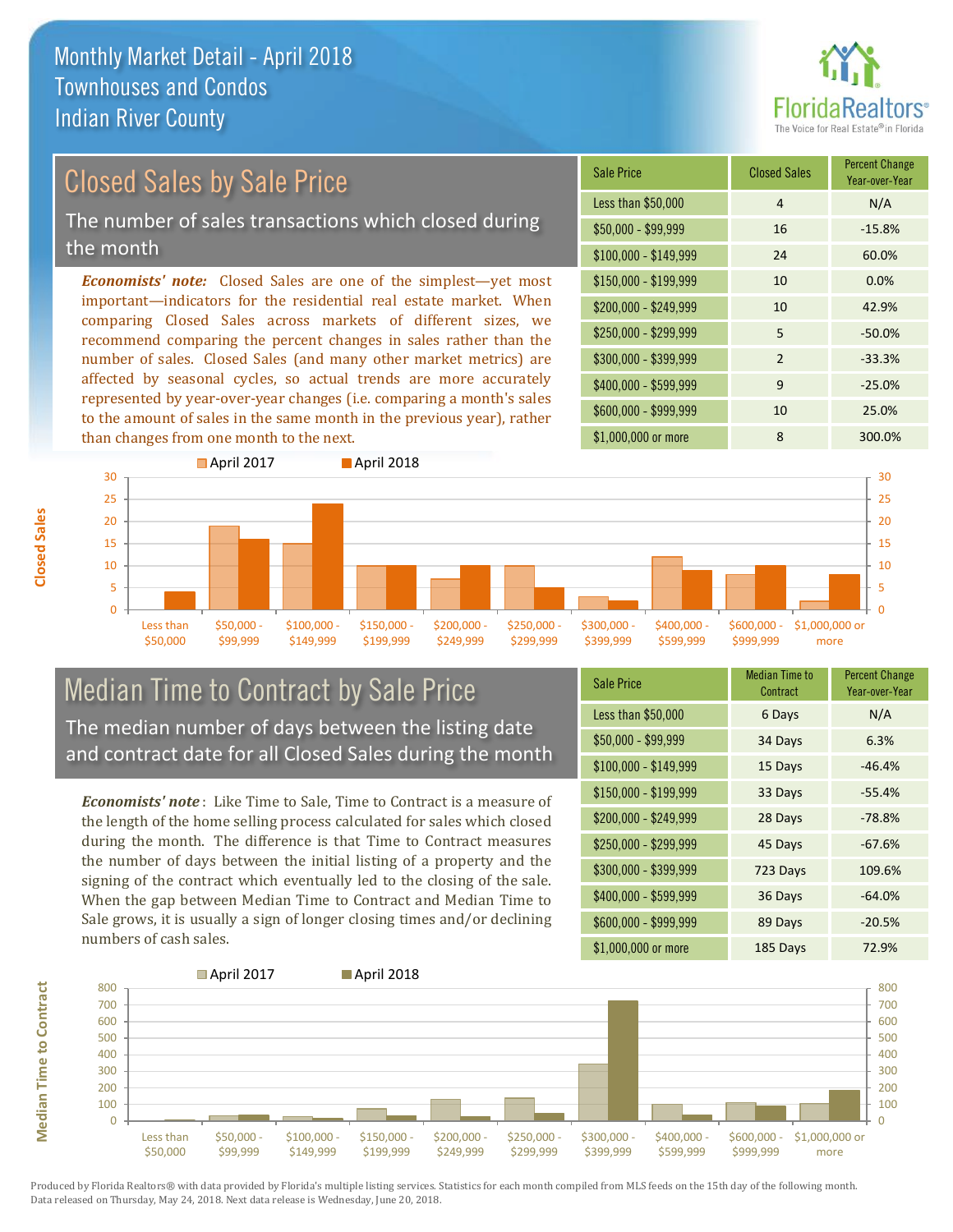

## Closed Sales by Sale Price

The number of sales transactions which closed during the month

*Economists' note:* Closed Sales are one of the simplest—yet most important—indicators for the residential real estate market. When comparing Closed Sales across markets of different sizes, we recommend comparing the percent changes in sales rather than the number of sales. Closed Sales (and many other market metrics) are affected by seasonal cycles, so actual trends are more accurately represented by year-over-year changes (i.e. comparing a month's sales to the amount of sales in the same month in the previous year), rather than changes from one month to the next.

| <b>Sale Price</b>     | <b>Closed Sales</b> | <b>Percent Change</b><br>Year-over-Year |
|-----------------------|---------------------|-----------------------------------------|
| Less than \$50,000    | 4                   | N/A                                     |
| $$50,000 - $99,999$   | 16                  | $-15.8%$                                |
| $$100,000 - $149,999$ | 24                  | 60.0%                                   |
| $$150,000 - $199,999$ | 10                  | 0.0%                                    |
| \$200,000 - \$249,999 | 10                  | 42.9%                                   |
| \$250,000 - \$299,999 | 5                   | $-50.0%$                                |
| \$300,000 - \$399,999 | $\overline{2}$      | $-33.3%$                                |
| \$400,000 - \$599,999 | 9                   | $-25.0%$                                |
| \$600,000 - \$999,999 | 10                  | 25.0%                                   |
| \$1,000,000 or more   | 8                   | 300.0%                                  |



### Median Time to Contract by Sale Price The median number of days between the listing date and contract date for all Closed Sales during the month

*Economists' note* : Like Time to Sale, Time to Contract is a measure of the length of the home selling process calculated for sales which closed during the month. The difference is that Time to Contract measures the number of days between the initial listing of a property and the signing of the contract which eventually led to the closing of the sale. When the gap between Median Time to Contract and Median Time to Sale grows, it is usually a sign of longer closing times and/or declining numbers of cash sales.

| Sale Price            | <b>Median Time to</b><br>Contract | <b>Percent Change</b><br>Year-over-Year |
|-----------------------|-----------------------------------|-----------------------------------------|
| Less than \$50,000    | 6 Days                            | N/A                                     |
| $$50,000 - $99,999$   | 34 Days                           | 6.3%                                    |
| $$100,000 - $149,999$ | 15 Days                           | $-46.4%$                                |
| $$150,000 - $199,999$ | 33 Days                           | $-55.4%$                                |
| \$200,000 - \$249,999 | 28 Days                           | $-78.8%$                                |
| \$250,000 - \$299,999 | 45 Days                           | $-67.6%$                                |
| \$300,000 - \$399,999 | 723 Days                          | 109.6%                                  |
| \$400,000 - \$599,999 | 36 Days                           | $-64.0%$                                |
| \$600,000 - \$999,999 | 89 Days                           | $-20.5%$                                |
| \$1,000,000 or more   | 185 Days                          | 72.9%                                   |



Produced by Florida Realtors® with data provided by Florida's multiple listing services. Statistics for each month compiled from MLS feeds on the 15th day of the following month. Data released on Thursday, May 24, 2018. Next data release is Wednesday, June 20, 2018.

**Median Time to Contract**

**Median Time to Contract**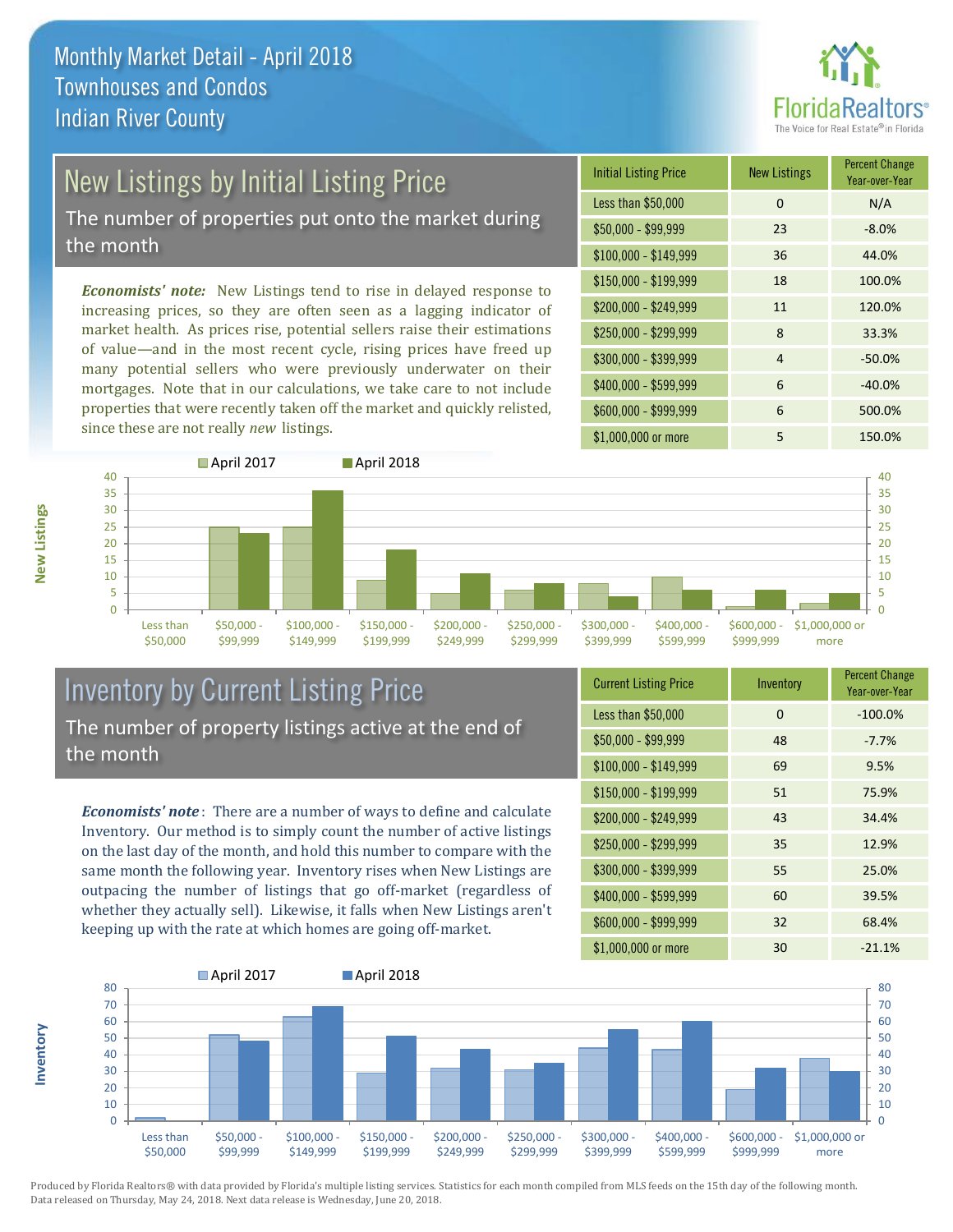

# New Listings by Initial Listing Price

The number of properties put onto the market during the month

*Economists' note:* New Listings tend to rise in delayed response to increasing prices, so they are often seen as a lagging indicator of market health. As prices rise, potential sellers raise their estimations of value—and in the most recent cycle, rising prices have freed up many potential sellers who were previously underwater on their mortgages. Note that in our calculations, we take care to not include properties that were recently taken off the market and quickly relisted, since these are not really *new* listings.

| <b>Initial Listing Price</b> | <b>New Listings</b> | <b>Percent Change</b><br>Year-over-Year |
|------------------------------|---------------------|-----------------------------------------|
| Less than \$50,000           | 0                   | N/A                                     |
| \$50,000 - \$99,999          | 23                  | $-8.0%$                                 |
| $$100,000 - $149,999$        | 36                  | 44.0%                                   |
| $$150,000 - $199,999$        | 18                  | 100.0%                                  |
| \$200,000 - \$249,999        | 11                  | 120.0%                                  |
| \$250,000 - \$299,999        | 8                   | 33.3%                                   |
| \$300,000 - \$399,999        | 4                   | $-50.0%$                                |
| \$400,000 - \$599,999        | 6                   | $-40.0%$                                |
| \$600,000 - \$999,999        | 6                   | 500.0%                                  |
| \$1,000,000 or more          | 5                   | 150.0%                                  |



### Inventory by Current Listing Price The number of property listings active at the end of the month

*Economists' note* : There are a number of ways to define and calculate Inventory. Our method is to simply count the number of active listings on the last day of the month, and hold this number to compare with the same month the following year. Inventory rises when New Listings are outpacing the number of listings that go off-market (regardless of whether they actually sell). Likewise, it falls when New Listings aren't keeping up with the rate at which homes are going off-market.

| <b>Current Listing Price</b> | Inventory | <b>Percent Change</b><br>Year-over-Year |
|------------------------------|-----------|-----------------------------------------|
| Less than \$50,000           | 0         | $-100.0%$                               |
| $$50,000 - $99,999$          | 48        | $-7.7%$                                 |
| $$100,000 - $149,999$        | 69        | 9.5%                                    |
| $$150,000 - $199,999$        | 51        | 75.9%                                   |
| \$200,000 - \$249,999        | 43        | 34.4%                                   |
| \$250,000 - \$299,999        | 35        | 12.9%                                   |
| \$300,000 - \$399,999        | 55        | 25.0%                                   |
| \$400,000 - \$599,999        | 60        | 39.5%                                   |
| \$600,000 - \$999,999        | 32        | 68.4%                                   |
| \$1,000,000 or more          | 30        | $-21.1%$                                |



Produced by Florida Realtors® with data provided by Florida's multiple listing services. Statistics for each month compiled from MLS feeds on the 15th day of the following month. Data released on Thursday, May 24, 2018. Next data release is Wednesday, June 20, 2018.

**Inventory**